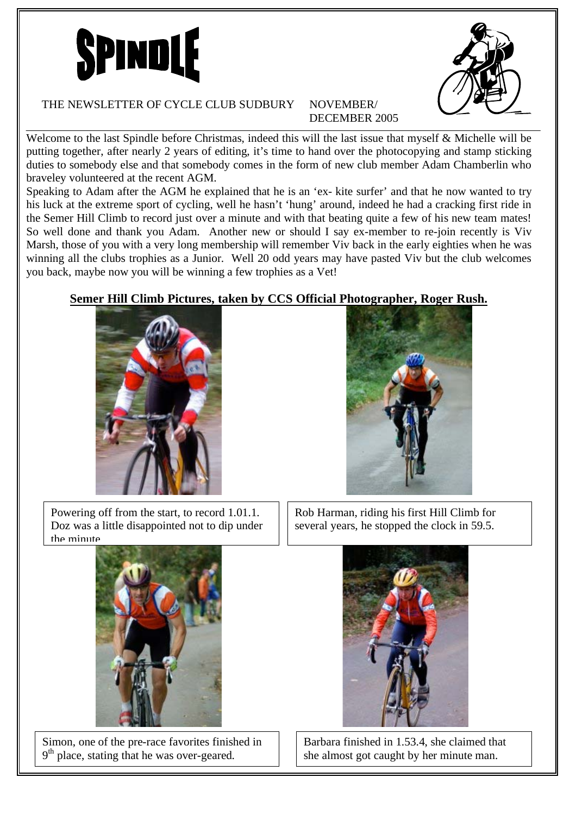



## THE NEWSLETTER OF CYCLE CLUB SUDBURY NOVEMBER/

## DECEMBER 2005

Welcome to the last Spindle before Christmas, indeed this will the last issue that myself & Michelle will be putting together, after nearly 2 years of editing, it's time to hand over the photocopying and stamp sticking duties to somebody else and that somebody comes in the form of new club member Adam Chamberlin who braveley volunteered at the recent AGM.

Speaking to Adam after the AGM he explained that he is an 'ex- kite surfer' and that he now wanted to try his luck at the extreme sport of cycling, well he hasn't 'hung' around, indeed he had a cracking first ride in the Semer Hill Climb to record just over a minute and with that beating quite a few of his new team mates! So well done and thank you Adam. Another new or should I say ex-member to re-join recently is Viv Marsh, those of you with a very long membership will remember Viv back in the early eighties when he was winning all the clubs trophies as a Junior. Well 20 odd years may have pasted Viv but the club welcomes you back, maybe now you will be winning a few trophies as a Vet!

### **Semer Hill Climb Pictures, taken by CCS Official Photographer, Roger Rush.**



Powering off from the start, to record 1.01.1. Doz was a little disappointed not to dip under the minute



Rob Harman, riding his first Hill Climb for several years, he stopped the clock in 59.5.



Simon, one of the pre-race favorites finished in 9<sup>th</sup> place, stating that he was over-geared.



Barbara finished in 1.53.4, she claimed that she almost got caught by her minute man.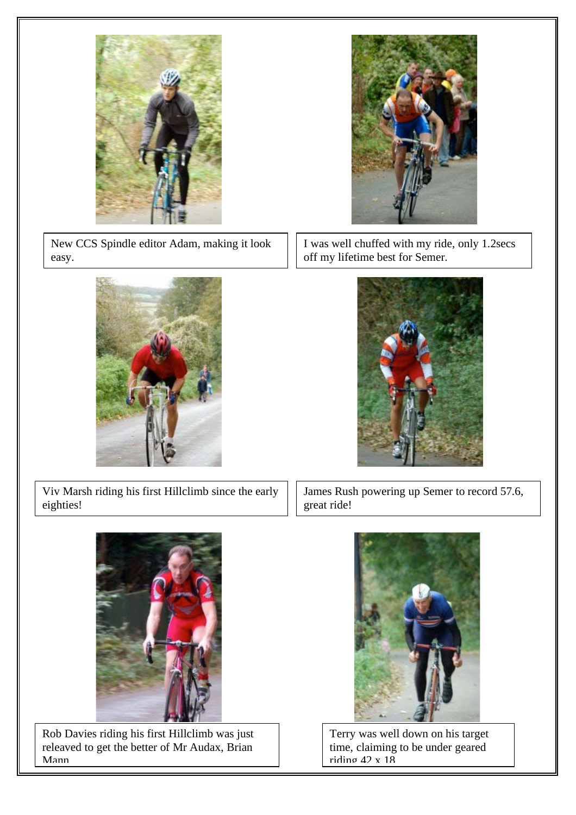

New CCS Spindle editor Adam, making it look easy.



I was well chuffed with my ride, only 1.2secs off my lifetime best for Semer.



Viv Marsh riding his first Hillclimb since the early eighties!

James Rush powering up Semer to record 57.6, great ride!



Rob Davies riding his first Hillclimb was just releaved to get the better of Mr Audax, Brian Mann



Terry was well down on his target time, claiming to be under geared riding 42 x 18

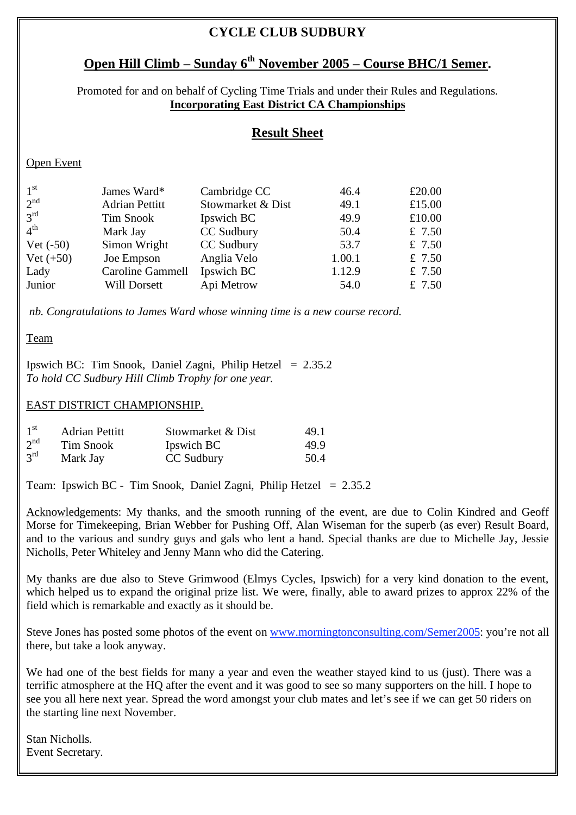## **CYCLE CLUB SUDBURY**

## **Open Hill Climb – Sunday 6<sup>th</sup> November 2005 – Course BHC/1 Semer.**

Promoted for and on behalf of Cycling Time Trials and under their Rules and Regulations. **Incorporating East District CA Championships**

### **Result Sheet**

### Open Event

| 1 <sup>st</sup> | James Ward*           | Cambridge CC      | 46.4   | £20.00   |
|-----------------|-----------------------|-------------------|--------|----------|
| 2 <sup>nd</sup> | <b>Adrian Pettitt</b> | Stowmarket & Dist | 49.1   | £15.00   |
| $3^{\text{rd}}$ | <b>Tim Snook</b>      | Ipswich BC        | 49.9   | £10.00   |
| $4^{\text{th}}$ | Mark Jay              | CC Sudbury        | 50.4   | £ $7.50$ |
| $Net (-50)$     | Simon Wright          | CC Sudbury        | 53.7   | £ $7.50$ |
| $Net (+50)$     | Joe Empson            | Anglia Velo       | 1.00.1 | £7.50    |
| Lady            | Caroline Gammell      | Ipswich BC        | 1.12.9 | £7.50    |
| Junior          | Will Dorsett          | Api Metrow        | 54.0   | £7.50    |

 *nb. Congratulations to James Ward whose winning time is a new course record.* 

#### Team

Ipswich BC: Tim Snook, Daniel Zagni, Philip Hetzel  $= 2.35.2$ *To hold CC Sudbury Hill Climb Trophy for one year.* 

#### EAST DISTRICT CHAMPIONSHIP.

| 1 <sup>st</sup> | <b>Adrian Pettitt</b> | Stowmarket & Dist | 49.1 |
|-----------------|-----------------------|-------------------|------|
| 2 <sup>nd</sup> | Tim Snook             | Ipswich BC        | 49.9 |
| $3^{\text{rd}}$ | Mark Jay              | CC Sudbury        | 50.4 |

Team: Ipswich BC - Tim Snook, Daniel Zagni, Philip Hetzel = 2.35.2

Acknowledgements: My thanks, and the smooth running of the event, are due to Colin Kindred and Geoff Morse for Timekeeping, Brian Webber for Pushing Off, Alan Wiseman for the superb (as ever) Result Board, and to the various and sundry guys and gals who lent a hand. Special thanks are due to Michelle Jay, Jessie Nicholls, Peter Whiteley and Jenny Mann who did the Catering.

My thanks are due also to Steve Grimwood (Elmys Cycles, Ipswich) for a very kind donation to the event, which helped us to expand the original prize list. We were, finally, able to award prizes to approx 22% of the field which is remarkable and exactly as it should be.

Steve Jones has posted some photos of the event on www.morningtonconsulting.com/Semer2005: you're not all there, but take a look anyway.

We had one of the best fields for many a year and even the weather stayed kind to us (just). There was a terrific atmosphere at the HQ after the event and it was good to see so many supporters on the hill. I hope to see you all here next year. Spread the word amongst your club mates and let's see if we can get 50 riders on the starting line next November.

Stan Nicholls. Event Secretary.

ֺֺ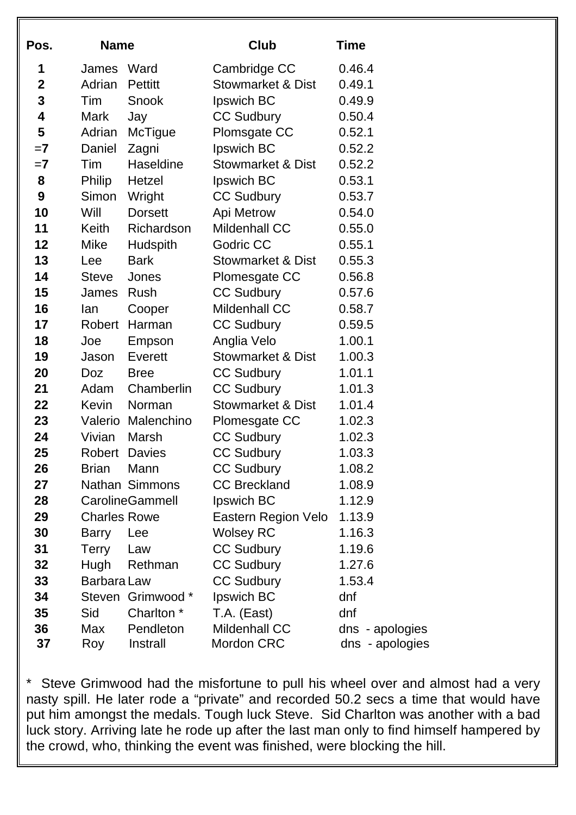| Pos.         | <b>Name</b>         |                       | Club                         | Time            |
|--------------|---------------------|-----------------------|------------------------------|-----------------|
| 1            | James               | Ward                  | Cambridge CC                 | 0.46.4          |
| $\mathbf{2}$ | Adrian              | <b>Pettitt</b>        | <b>Stowmarket &amp; Dist</b> | 0.49.1          |
| 3            | Tim                 | Snook                 | Ipswich BC                   | 0.49.9          |
| 4            | Mark                | Jay                   | <b>CC Sudbury</b>            | 0.50.4          |
| 5            | Adrian              | <b>McTigue</b>        | Plomsgate CC                 | 0.52.1          |
| $=7$         | Daniel              | Zagni                 | Ipswich BC                   | 0.52.2          |
| $=7$         | Tim                 | Haseldine             | <b>Stowmarket &amp; Dist</b> | 0.52.2          |
| 8            | Philip              | Hetzel                | Ipswich BC                   | 0.53.1          |
| 9            | Simon               | Wright                | <b>CC Sudbury</b>            | 0.53.7          |
| 10           | Will                | <b>Dorsett</b>        | Api Metrow                   | 0.54.0          |
| 11           | <b>Keith</b>        | Richardson            | <b>Mildenhall CC</b>         | 0.55.0          |
| 12           | <b>Mike</b>         | Hudspith              | Godric CC                    | 0.55.1          |
| 13           | Lee                 | <b>Bark</b>           | <b>Stowmarket &amp; Dist</b> | 0.55.3          |
| 14           | <b>Steve</b>        | Jones                 | Plomesgate CC                | 0.56.8          |
| 15           | James               | Rush                  | <b>CC Sudbury</b>            | 0.57.6          |
| 16           | lan                 | Cooper                | <b>Mildenhall CC</b>         | 0.58.7          |
| 17           | Robert              | Harman                | <b>CC Sudbury</b>            | 0.59.5          |
| 18           | Joe                 | Empson                | Anglia Velo                  | 1.00.1          |
| 19           | Jason               | Everett               | <b>Stowmarket &amp; Dist</b> | 1.00.3          |
| 20           | Doz                 | <b>Bree</b>           | <b>CC Sudbury</b>            | 1.01.1          |
| 21           | Adam                | Chamberlin            | <b>CC Sudbury</b>            | 1.01.3          |
| 22           | Kevin               | Norman                | <b>Stowmarket &amp; Dist</b> | 1.01.4          |
| 23           |                     | Valerio Malenchino    | Plomesgate CC                | 1.02.3          |
| 24           | Vivian              | Marsh                 | <b>CC Sudbury</b>            | 1.02.3          |
| 25           | <b>Robert</b>       | <b>Davies</b>         | <b>CC Sudbury</b>            | 1.03.3          |
| 26           | <b>Brian</b>        | Mann                  | <b>CC Sudbury</b>            | 1.08.2          |
| 27           |                     | <b>Nathan Simmons</b> | <b>CC Breckland</b>          | 1.08.9          |
| 28           |                     | CarolineGammell       | Ipswich BC                   | 1.12.9          |
| 29           | <b>Charles Rowe</b> |                       | Eastern Region Velo          | 1.13.9          |
| 30           | <b>Barry</b>        | Lee                   | <b>Wolsey RC</b>             | 1.16.3          |
| 31           | <b>Terry</b>        | Law                   | <b>CC Sudbury</b>            | 1.19.6          |
| 32           | Hugh                | Rethman               | <b>CC Sudbury</b>            | 1.27.6          |
| 33           | Barbara Law         |                       | <b>CC Sudbury</b>            | 1.53.4          |
| 34           |                     | Steven Grimwood *     | Ipswich BC                   | dnf             |
| 35           | Sid                 | Charlton <sup>*</sup> | T.A. (East)                  | dnf             |
| 36           | Max                 | Pendleton             | <b>Mildenhall CC</b>         | dns - apologies |
| 37           | Roy                 | Instrall              | Mordon CRC                   | dns - apologies |

\* Steve Grimwood had the misfortune to pull his wheel over and almost had a very nasty spill. He later rode a "private" and recorded 50.2 secs a time that would have put him amongst the medals. Tough luck Steve. Sid Charlton was another with a bad luck story. Arriving late he rode up after the last man only to find himself hampered by the crowd, who, thinking the event was finished, were blocking the hill.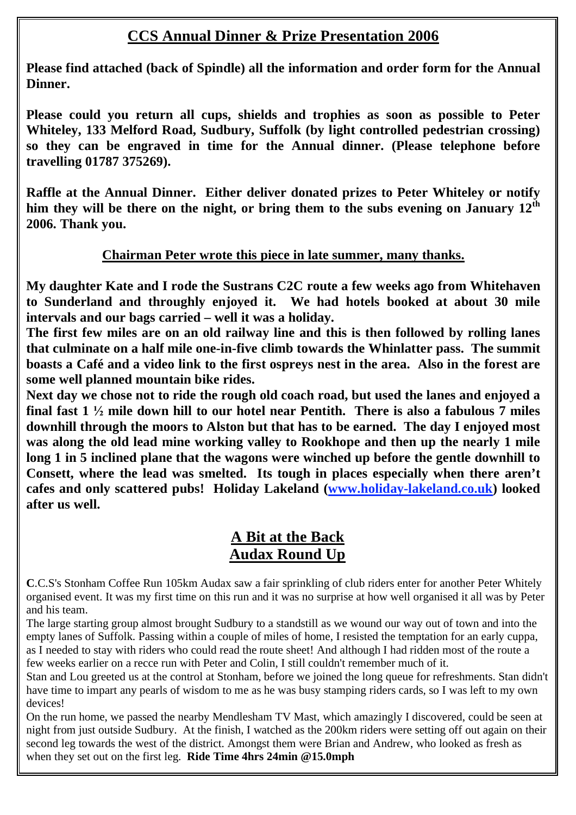## **CCS Annual Dinner & Prize Presentation 2006**

**Please find attached (back of Spindle) all the information and order form for the Annual Dinner.** 

**Please could you return all cups, shields and trophies as soon as possible to Peter Whiteley, 133 Melford Road, Sudbury, Suffolk (by light controlled pedestrian crossing) so they can be engraved in time for the Annual dinner. (Please telephone before travelling 01787 375269).** 

**Raffle at the Annual Dinner. Either deliver donated prizes to Peter Whiteley or notify him they will be there on the night, or bring them to the subs evening on January 12th 2006. Thank you.** 

## **Chairman Peter wrote this piece in late summer, many thanks.**

**My daughter Kate and I rode the Sustrans C2C route a few weeks ago from Whitehaven to Sunderland and throughly enjoyed it. We had hotels booked at about 30 mile intervals and our bags carried – well it was a holiday.** 

**The first few miles are on an old railway line and this is then followed by rolling lanes that culminate on a half mile one-in-five climb towards the Whinlatter pass. The summit boasts a Café and a video link to the first ospreys nest in the area. Also in the forest are some well planned mountain bike rides.** 

**Next day we chose not to ride the rough old coach road, but used the lanes and enjoyed a final fast 1**  $\frac{1}{2}$  mile down hill to our hotel near Pentith. There is also a fabulous 7 miles **downhill through the moors to Alston but that has to be earned. The day I enjoyed most was along the old lead mine working valley to Rookhope and then up the nearly 1 mile long 1 in 5 inclined plane that the wagons were winched up before the gentle downhill to Consett, where the lead was smelted. Its tough in places especially when there aren't cafes and only scattered pubs! Holiday Lakeland (www.holiday-lakeland.co.uk) looked after us well.** 

## **A Bit at the Back Audax Round Up**

**C**.C.S's Stonham Coffee Run 105km Audax saw a fair sprinkling of club riders enter for another Peter Whitely organised event. It was my first time on this run and it was no surprise at how well organised it all was by Peter and his team.

The large starting group almost brought Sudbury to a standstill as we wound our way out of town and into the empty lanes of Suffolk. Passing within a couple of miles of home, I resisted the temptation for an early cuppa, as I needed to stay with riders who could read the route sheet! And although I had ridden most of the route a few weeks earlier on a recce run with Peter and Colin, I still couldn't remember much of it.

Stan and Lou greeted us at the control at Stonham, before we joined the long queue for refreshments. Stan didn't have time to impart any pearls of wisdom to me as he was busy stamping riders cards, so I was left to my own devices!

On the run home, we passed the nearby Mendlesham TV Mast, which amazingly I discovered, could be seen at night from just outside Sudbury. At the finish, I watched as the 200km riders were setting off out again on their second leg towards the west of the district. Amongst them were Brian and Andrew, who looked as fresh as when they set out on the first leg. **Ride Time 4hrs 24min @15.0mph**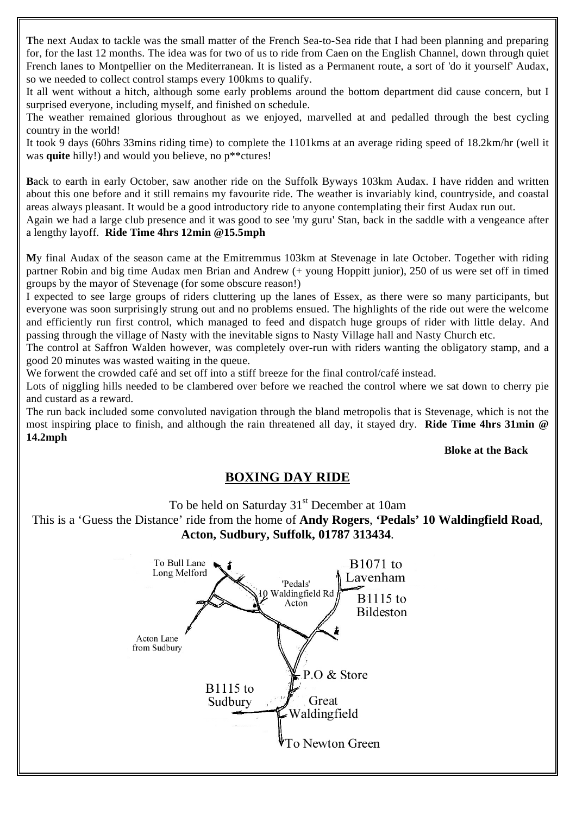**T**he next Audax to tackle was the small matter of the French Sea-to-Sea ride that I had been planning and preparing for, for the last 12 months. The idea was for two of us to ride from Caen on the English Channel, down through quiet French lanes to Montpellier on the Mediterranean. It is listed as a Permanent route, a sort of 'do it yourself' Audax, so we needed to collect control stamps every 100kms to qualify.

It all went without a hitch, although some early problems around the bottom department did cause concern, but I surprised everyone, including myself, and finished on schedule.

The weather remained glorious throughout as we enjoyed, marvelled at and pedalled through the best cycling country in the world!

It took 9 days (60hrs 33mins riding time) to complete the 1101kms at an average riding speed of 18.2km/hr (well it was **quite** hilly!) and would you believe, no p\*\*ctures!

**B**ack to earth in early October, saw another ride on the Suffolk Byways 103km Audax. I have ridden and written about this one before and it still remains my favourite ride. The weather is invariably kind, countryside, and coastal areas always pleasant. It would be a good introductory ride to anyone contemplating their first Audax run out.

Again we had a large club presence and it was good to see 'my guru' Stan, back in the saddle with a vengeance after a lengthy layoff. **Ride Time 4hrs 12min @15.5mph**

**M**y final Audax of the season came at the Emitremmus 103km at Stevenage in late October. Together with riding partner Robin and big time Audax men Brian and Andrew (+ young Hoppitt junior), 250 of us were set off in timed groups by the mayor of Stevenage (for some obscure reason!)

I expected to see large groups of riders cluttering up the lanes of Essex, as there were so many participants, but everyone was soon surprisingly strung out and no problems ensued. The highlights of the ride out were the welcome and efficiently run first control, which managed to feed and dispatch huge groups of rider with little delay. And passing through the village of Nasty with the inevitable signs to Nasty Village hall and Nasty Church etc.

The control at Saffron Walden however, was completely over-run with riders wanting the obligatory stamp, and a good 20 minutes was wasted waiting in the queue.

We forwent the crowded café and set off into a stiff breeze for the final control/café instead.

Lots of niggling hills needed to be clambered over before we reached the control where we sat down to cherry pie and custard as a reward.

The run back included some convoluted navigation through the bland metropolis that is Stevenage, which is not the most inspiring place to finish, and although the rain threatened all day, it stayed dry. **Ride Time 4hrs 31min @ 14.2mph** 

#### **Bloke at the Back**

## **BOXING DAY RIDE**

To be held on Saturday 31<sup>st</sup> December at 10am

This is a 'Guess the Distance' ride from the home of **Andy Rogers**, **'Pedals' 10 Waldingfield Road**, **Acton, Sudbury, Suffolk, 01787 313434**.

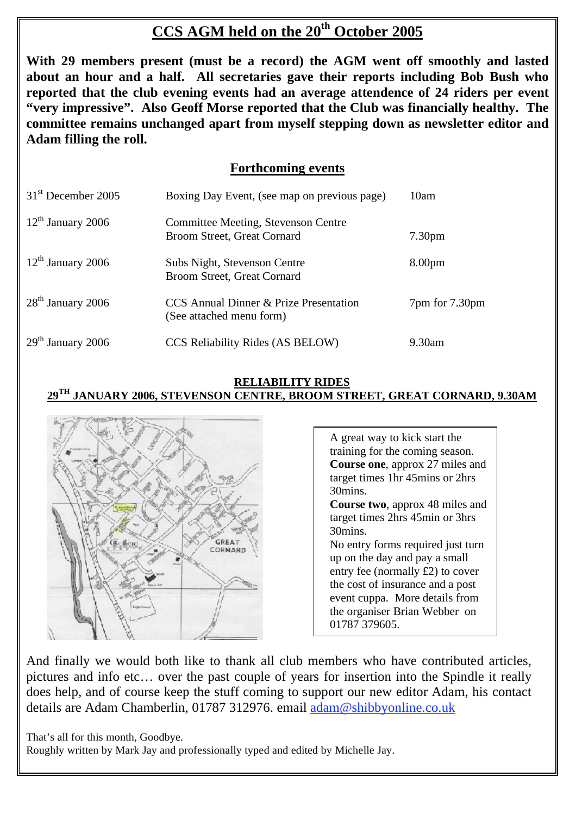# **CCS AGM held on the 20<sup>th</sup> October 2005**

**With 29 members present (must be a record) the AGM went off smoothly and lasted about an hour and a half. All secretaries gave their reports including Bob Bush who reported that the club evening events had an average attendence of 24 riders per event "very impressive". Also Geoff Morse reported that the Club was financially healthy. The committee remains unchanged apart from myself stepping down as newsletter editor and Adam filling the roll.** 

## **Forthcoming events**

| $31st$ December 2005 | Boxing Day Event, (see map on previous page)                       | 10am               |
|----------------------|--------------------------------------------------------------------|--------------------|
| $12th$ January 2006  | Committee Meeting, Stevenson Centre<br>Broom Street, Great Cornard | 7.30 <sub>pm</sub> |
| $12th$ January 2006  | Subs Night, Stevenson Centre<br>Broom Street, Great Cornard        | 8.00 <sub>pm</sub> |
| $28th$ January 2006  | CCS Annual Dinner & Prize Presentation<br>(See attached menu form) | 7pm for 7.30pm     |
| $29th$ January 2006  | CCS Reliability Rides (AS BELOW)                                   | 9.30am             |

### **RELIABILITY RIDES 29TH JANUARY 2006, STEVENSON CENTRE, BROOM STREET, GREAT CORNARD, 9.30AM**



A great way to kick start the training for the coming season. **Course one**, approx 27 miles and target times 1hr 45mins or 2hrs 30mins. **Course two**, approx 48 miles and target times 2hrs 45min or 3hrs 30mins. No entry forms required just turn up on the day and pay a small entry fee (normally £2) to cover the cost of insurance and a post event cuppa. More details from the organiser Brian Webber on 01787 379605.

And finally we would both like to thank all club members who have contributed articles, pictures and info etc… over the past couple of years for insertion into the Spindle it really does help, and of course keep the stuff coming to support our new editor Adam, his contact details are Adam Chamberlin, 01787 312976. email adam@shibbyonline.co.uk

That's all for this month, Goodbye.

Roughly written by Mark Jay and professionally typed and edited by Michelle Jay.